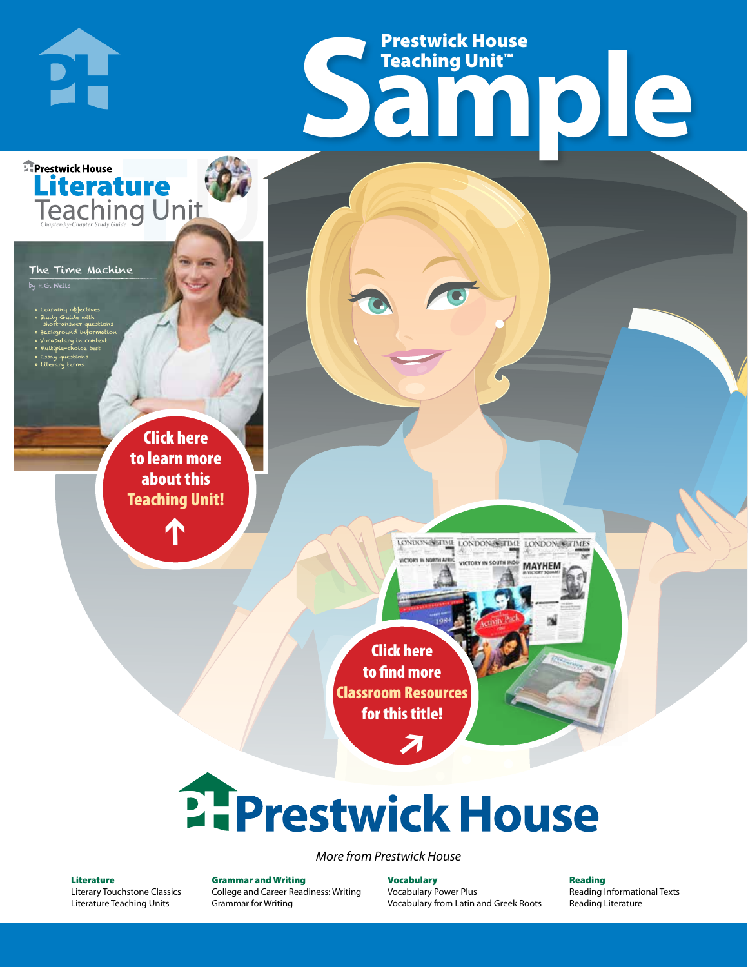# Frestwick House<br>
Sample **Prestwick House**<br>Teaching Unit™ Teaching Unit™

LONDON-SCITME LONDON/SCITME LONDON/SCITMES

MAYHEM

The Time Machine

PI-

**E** Prestwick House

**Literature** 

by H.G. Wells

• Learning objectives • Study Guide with short-answer questions • Background information • Vocabulary in context • Multiple-choice test

CHARLES DICKENS

**A Tale of Two Cities**

• Essay questions • Literary terms

> r e o r d e r n o . x x x x x x Click here to learn more about this [Teaching Unit!](https://www.prestwickhouse.com/pdf/id-201186/Time_Machine_The_-_Downloadable_Teaching_Unit)

> > $\mathbf{T}$

1

Click here to find more [Classroom Resources](http://teaching-english.prestwickhouse.com/search#w=the%20time%20machine)  for this title!

 $\overline{\boldsymbol{\lambda}}$ 

# **2. Prestwick House**

*More from Prestwick House*

#### Literature

[Literary Touchstone Classics](https://www.prestwickhouse.com/literary-touchstone-classics) [Literature Teaching Units](https://www.prestwickhouse.com/teaching-units)

Grammar and Writing [College and Career Readiness: Writing](https://www.prestwickhouse.com/college-and-career-readiness-writing) [Grammar for Writing](https://www.prestwickhouse.com/book/id-302639/Grammar_for_Writing_-_30_Books_and_Teachers_Edition)

Vocabulary [Vocabulary Power Plus](https://www.prestwickhouse.com/vocabulary-power-plus-for-college-and-career-readiness) [Vocabulary from Latin and Greek Roots](https://www.prestwickhouse.com/vocabulary-from-latin-and-greek-roots) Reading

[Reading Informational Texts](https://www.prestwickhouse.com/reading-informational-texts) [Reading Literature](https://www.prestwickhouse.com/reading-literature)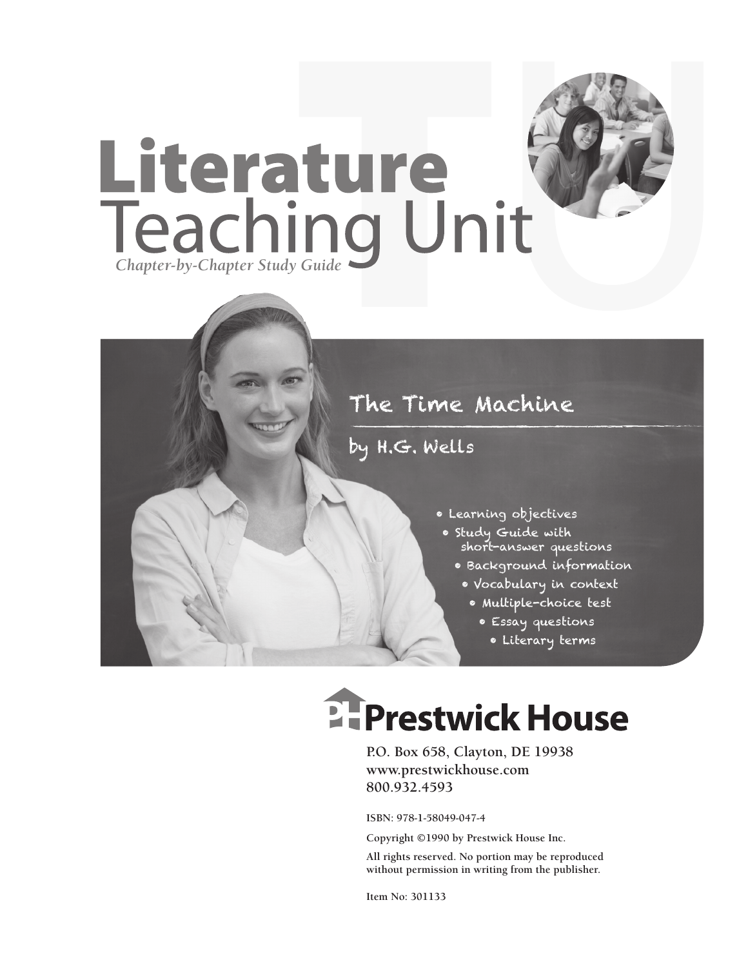

### by H.G. Wells

- Learning objectives
- Study Guide with short-answer questions
	- Background information
	- Vocabulary in context
		- Multiple-choice test
			- Essay questions
				- Literary terms

# **EFPrestwick House**

**P.O. Box 658, Clayton, DE 19938 www.prestwickhouse.com 800.932.4593**

**ISBN: 978-1-58049-047-4**

**Copyright ©1990 by Prestwick House Inc.**

**All rights reserved. No portion may be reproduced without permission in writing from the publisher.** 

**Item No: 301133**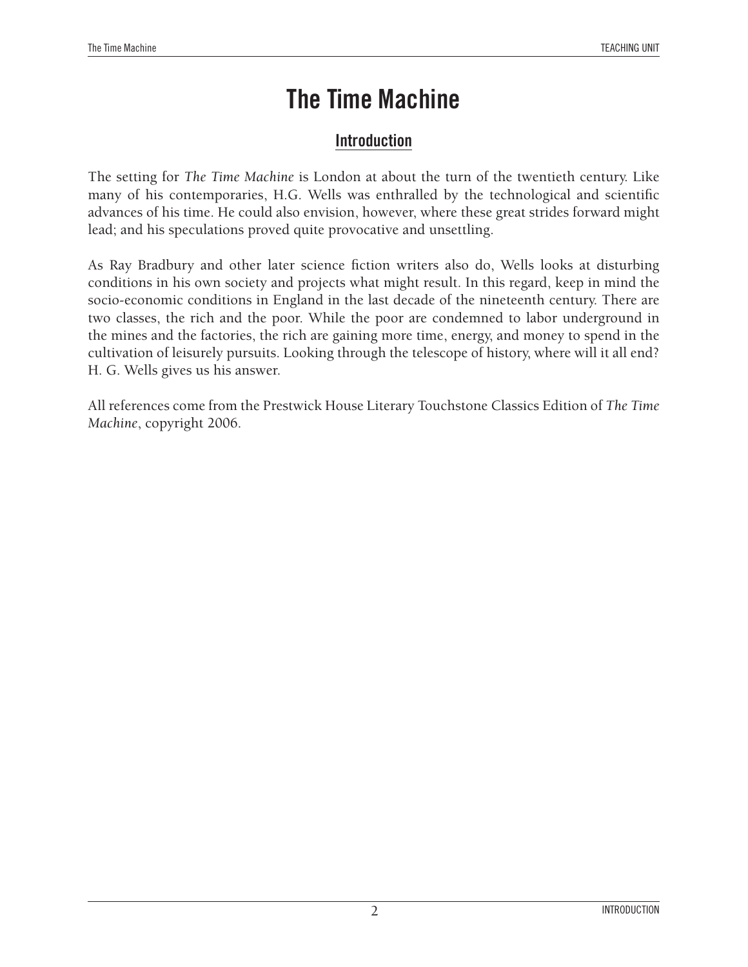#### **Introduction**

The setting for *The Time Machine* is London at about the turn of the twentieth century. Like many of his contemporaries, H.G. Wells was enthralled by the technological and scientific advances of his time. He could also envision, however, where these great strides forward might lead; and his speculations proved quite provocative and unsettling.

As Ray Bradbury and other later science fiction writers also do, Wells looks at disturbing conditions in his own society and projects what might result. In this regard, keep in mind the socio-economic conditions in England in the last decade of the nineteenth century. There are two classes, the rich and the poor. While the poor are condemned to labor underground in the mines and the factories, the rich are gaining more time, energy, and money to spend in the cultivation of leisurely pursuits. Looking through the telescope of history, where will it all end? H. G. Wells gives us his answer.

All references come from the Prestwick House Literary Touchstone Classics Edition of *The Time Machine*, copyright 2006.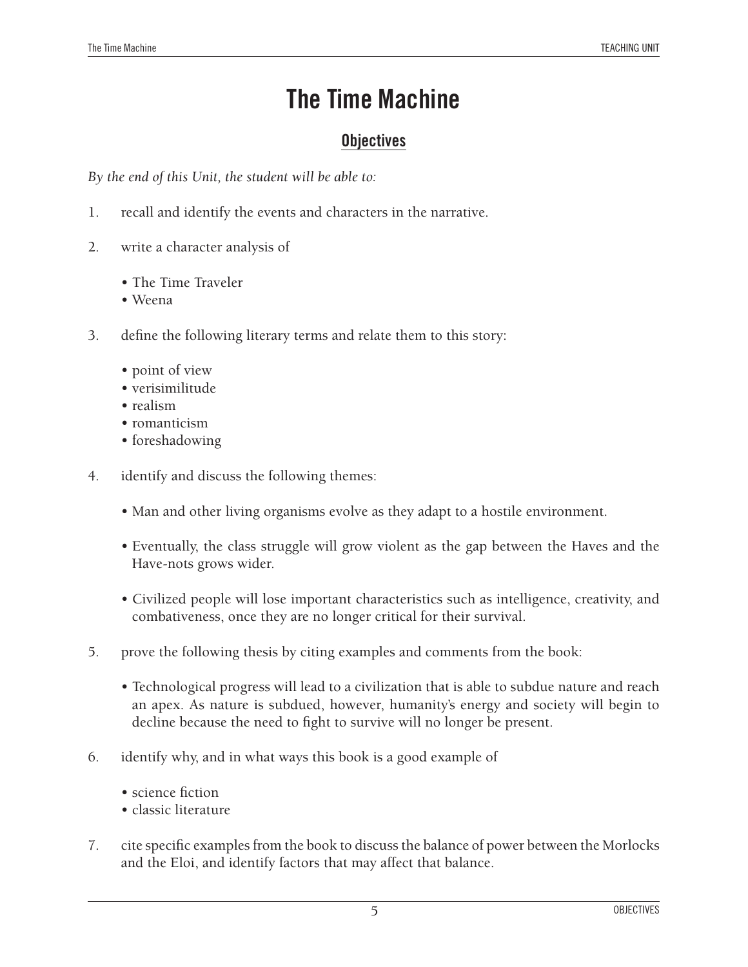#### **Objectives**

*By the end of this Unit, the student will be able to:*

- 1. recall and identify the events and characters in the narrative.
- 2. write a character analysis of
	- The Time Traveler
	- Weena
- 3. define the following literary terms and relate them to this story:
	- point of view
	- verisimilitude
	- realism
	- romanticism
	- foreshadowing
- 4. identify and discuss the following themes:
	- Man and other living organisms evolve as they adapt to a hostile environment.
	- Eventually, the class struggle will grow violent as the gap between the Haves and the Have-nots grows wider.
	- Civilized people will lose important characteristics such as intelligence, creativity, and combativeness, once they are no longer critical for their survival.
- 5. prove the following thesis by citing examples and comments from the book:
	- Technological progress will lead to a civilization that is able to subdue nature and reach an apex. As nature is subdued, however, humanity's energy and society will begin to decline because the need to fight to survive will no longer be present.
- 6. identify why, and in what ways this book is a good example of
	- science fiction
	- classic literature
- 7. cite specific examples from the book to discuss the balance of power between the Morlocks and the Eloi, and identify factors that may affect that balance.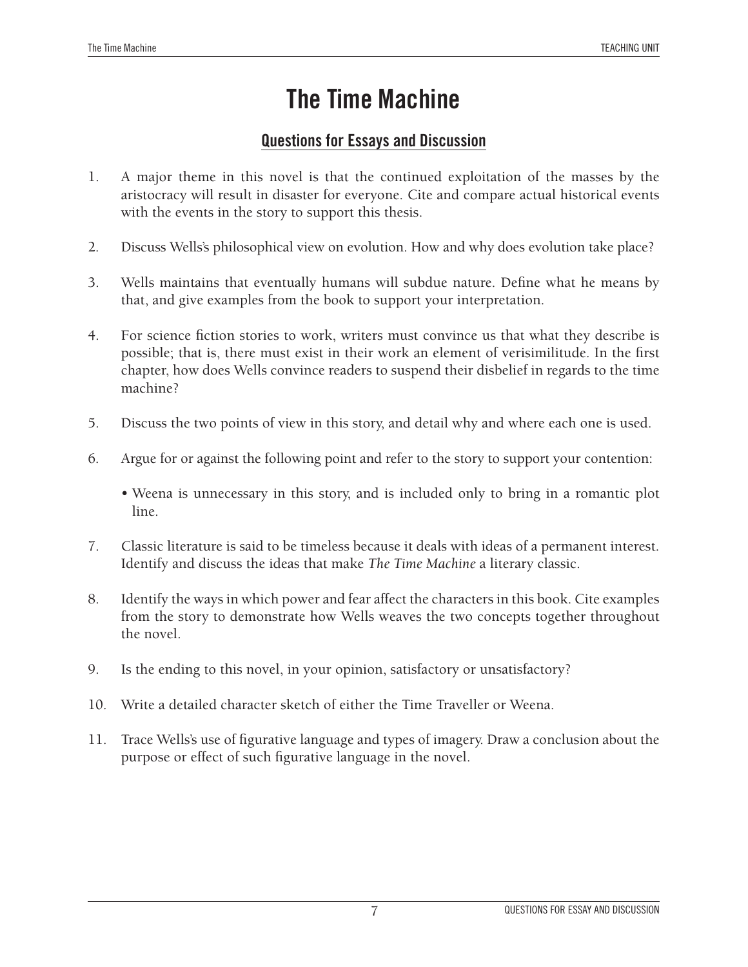#### **Questions for Essays and Discussion**

- 1. A major theme in this novel is that the continued exploitation of the masses by the aristocracy will result in disaster for everyone. Cite and compare actual historical events with the events in the story to support this thesis.
- 2. Discuss Wells's philosophical view on evolution. How and why does evolution take place?
- 3. Wells maintains that eventually humans will subdue nature. Define what he means by that, and give examples from the book to support your interpretation.
- 4. For science fiction stories to work, writers must convince us that what they describe is possible; that is, there must exist in their work an element of verisimilitude. In the first chapter, how does Wells convince readers to suspend their disbelief in regards to the time machine?
- 5. Discuss the two points of view in this story, and detail why and where each one is used.
- 6. Argue for or against the following point and refer to the story to support your contention:
	- Weena is unnecessary in this story, and is included only to bring in a romantic plot line.
- 7. Classic literature is said to be timeless because it deals with ideas of a permanent interest. Identify and discuss the ideas that make *The Time Machine* a literary classic.
- 8. Identify the ways in which power and fear affect the characters in this book. Cite examples from the story to demonstrate how Wells weaves the two concepts together throughout the novel.
- 9. Is the ending to this novel, in your opinion, satisfactory or unsatisfactory?
- 10. Write a detailed character sketch of either the Time Traveller or Weena.
- 11. Trace Wells's use of figurative language and types of imagery. Draw a conclusion about the purpose or effect of such figurative language in the novel.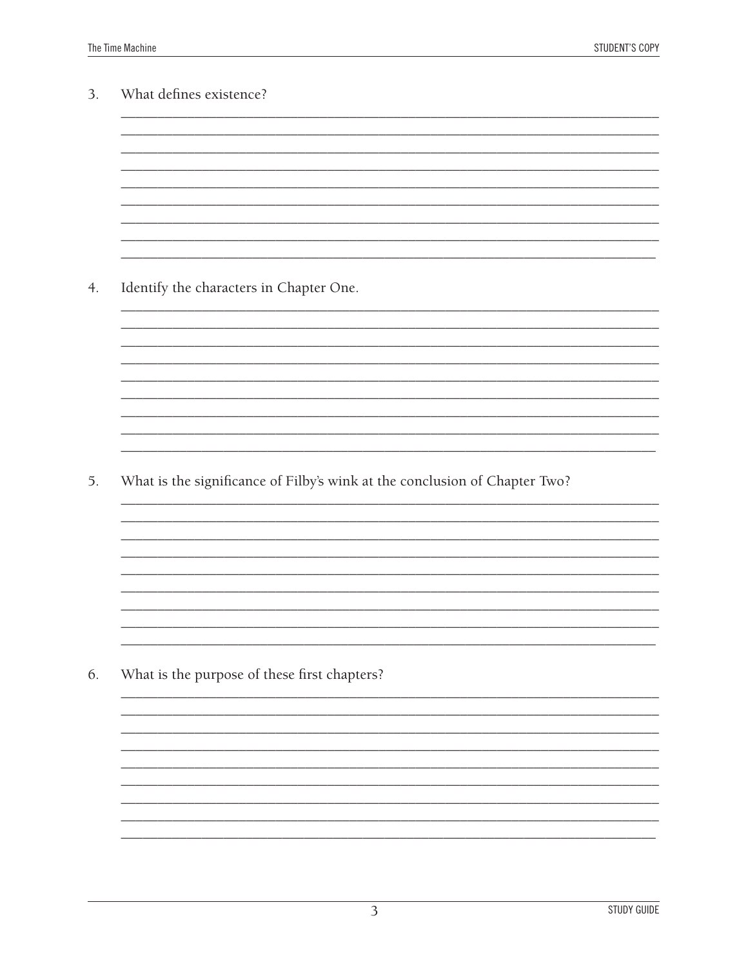| 3. | What defines existence?                                                    |
|----|----------------------------------------------------------------------------|
|    |                                                                            |
|    |                                                                            |
|    |                                                                            |
|    |                                                                            |
|    |                                                                            |
|    |                                                                            |
|    |                                                                            |
| 4. | Identify the characters in Chapter One.                                    |
|    |                                                                            |
|    |                                                                            |
|    |                                                                            |
|    |                                                                            |
|    |                                                                            |
|    |                                                                            |
|    |                                                                            |
| 5. | What is the significance of Filby's wink at the conclusion of Chapter Two? |
|    |                                                                            |
|    |                                                                            |
|    |                                                                            |
|    |                                                                            |
|    |                                                                            |
|    |                                                                            |
|    |                                                                            |
|    |                                                                            |
|    | What is the purpose of these first chapters?                               |
|    |                                                                            |
|    |                                                                            |
|    |                                                                            |
|    |                                                                            |
|    |                                                                            |
| 6. |                                                                            |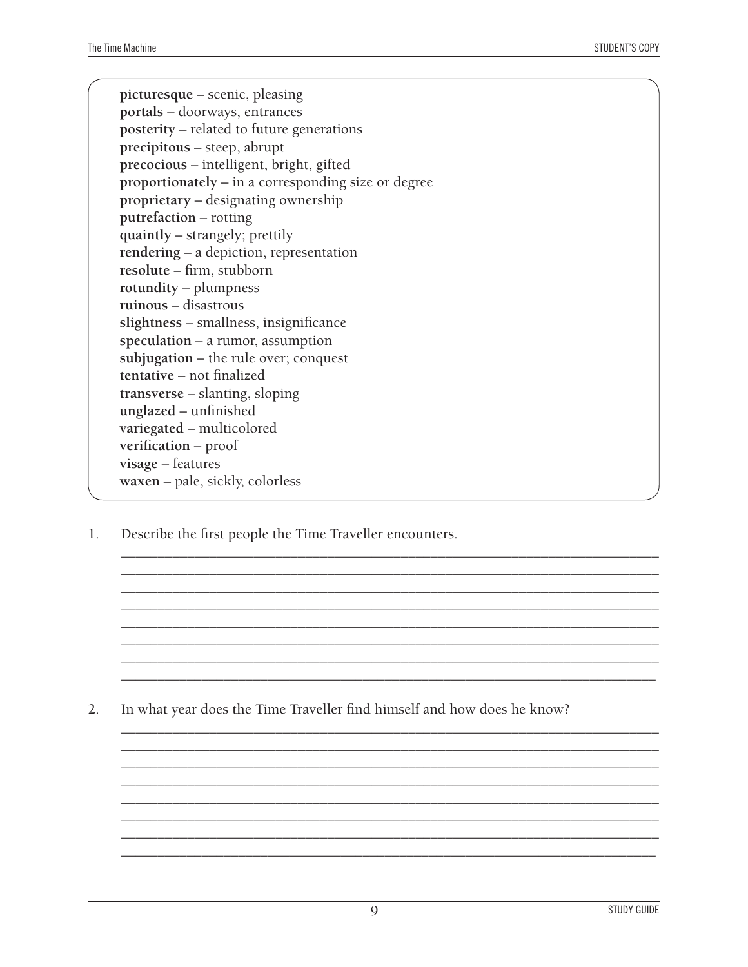**picturesque** – scenic, pleasing **portals** – doorways, entrances **posterity** – related to future generations **precipitous** – steep, abrupt **precocious** – intelligent, bright, gifted **proportionately** – in a corresponding size or degree **proprietary** – designating ownership **putrefaction** – rotting **quaintly** – strangely; prettily **rendering** – a depiction, representation **resolute** – firm, stubborn **rotundity** – plumpness **ruinous** – disastrous **slightness** – smallness, insignificance **speculation** – a rumor, assumption **subjugation** – the rule over; conquest **tentative** – not finalized **transverse** – slanting, sloping **unglazed** – unfinished **variegated** – multicolored **verification** – proof **visage** – features **waxen** – pale, sickly, colorless

1. Describe the first people the Time Traveller encounters.

2. In what year does the Time Traveller find himself and how does he know?

\_\_\_\_\_\_\_\_\_\_\_\_\_\_\_\_\_\_\_\_\_\_\_\_\_\_\_\_\_\_\_\_\_\_\_\_\_\_\_\_\_\_\_\_\_\_\_\_\_\_\_\_\_\_\_\_\_\_\_\_\_\_\_\_\_\_\_\_\_\_\_\_\_ \_\_\_\_\_\_\_\_\_\_\_\_\_\_\_\_\_\_\_\_\_\_\_\_\_\_\_\_\_\_\_\_\_\_\_\_\_\_\_\_\_\_\_\_\_\_\_\_\_\_\_\_\_\_\_\_\_\_\_\_\_\_\_\_\_\_\_\_\_\_\_\_\_ \_\_\_\_\_\_\_\_\_\_\_\_\_\_\_\_\_\_\_\_\_\_\_\_\_\_\_\_\_\_\_\_\_\_\_\_\_\_\_\_\_\_\_\_\_\_\_\_\_\_\_\_\_\_\_\_\_\_\_\_\_\_\_\_\_\_\_\_\_\_\_\_\_ \_\_\_\_\_\_\_\_\_\_\_\_\_\_\_\_\_\_\_\_\_\_\_\_\_\_\_\_\_\_\_\_\_\_\_\_\_\_\_\_\_\_\_\_\_\_\_\_\_\_\_\_\_\_\_\_\_\_\_\_\_\_\_\_\_\_\_\_\_\_\_\_\_ \_\_\_\_\_\_\_\_\_\_\_\_\_\_\_\_\_\_\_\_\_\_\_\_\_\_\_\_\_\_\_\_\_\_\_\_\_\_\_\_\_\_\_\_\_\_\_\_\_\_\_\_\_\_\_\_\_\_\_\_\_\_\_\_\_\_\_\_\_\_\_\_\_ \_\_\_\_\_\_\_\_\_\_\_\_\_\_\_\_\_\_\_\_\_\_\_\_\_\_\_\_\_\_\_\_\_\_\_\_\_\_\_\_\_\_\_\_\_\_\_\_\_\_\_\_\_\_\_\_\_\_\_\_\_\_\_\_\_\_\_\_\_\_\_\_\_ \_\_\_\_\_\_\_\_\_\_\_\_\_\_\_\_\_\_\_\_\_\_\_\_\_\_\_\_\_\_\_\_\_\_\_\_\_\_\_\_\_\_\_\_\_\_\_\_\_\_\_\_\_\_\_\_\_\_\_\_\_\_\_\_\_\_\_\_\_\_\_\_\_ \_\_\_\_\_\_\_\_\_\_\_\_\_\_\_\_\_\_\_\_\_\_\_\_\_\_\_\_\_\_\_\_\_\_\_\_\_\_\_\_\_\_\_\_\_\_\_\_\_\_\_\_\_\_\_\_\_\_\_\_\_\_\_\_\_\_\_\_\_\_\_\_\_

\_\_\_\_\_\_\_\_\_\_\_\_\_\_\_\_\_\_\_\_\_\_\_\_\_\_\_\_\_\_\_\_\_\_\_\_\_\_\_\_\_\_\_\_\_\_\_\_\_\_\_\_\_\_\_\_\_\_\_\_\_\_\_\_\_\_\_\_\_\_\_\_\_ \_\_\_\_\_\_\_\_\_\_\_\_\_\_\_\_\_\_\_\_\_\_\_\_\_\_\_\_\_\_\_\_\_\_\_\_\_\_\_\_\_\_\_\_\_\_\_\_\_\_\_\_\_\_\_\_\_\_\_\_\_\_\_\_\_\_\_\_\_\_\_\_\_ \_\_\_\_\_\_\_\_\_\_\_\_\_\_\_\_\_\_\_\_\_\_\_\_\_\_\_\_\_\_\_\_\_\_\_\_\_\_\_\_\_\_\_\_\_\_\_\_\_\_\_\_\_\_\_\_\_\_\_\_\_\_\_\_\_\_\_\_\_\_\_\_\_ \_\_\_\_\_\_\_\_\_\_\_\_\_\_\_\_\_\_\_\_\_\_\_\_\_\_\_\_\_\_\_\_\_\_\_\_\_\_\_\_\_\_\_\_\_\_\_\_\_\_\_\_\_\_\_\_\_\_\_\_\_\_\_\_\_\_\_\_\_\_\_\_\_ \_\_\_\_\_\_\_\_\_\_\_\_\_\_\_\_\_\_\_\_\_\_\_\_\_\_\_\_\_\_\_\_\_\_\_\_\_\_\_\_\_\_\_\_\_\_\_\_\_\_\_\_\_\_\_\_\_\_\_\_\_\_\_\_\_\_\_\_\_\_\_\_\_ \_\_\_\_\_\_\_\_\_\_\_\_\_\_\_\_\_\_\_\_\_\_\_\_\_\_\_\_\_\_\_\_\_\_\_\_\_\_\_\_\_\_\_\_\_\_\_\_\_\_\_\_\_\_\_\_\_\_\_\_\_\_\_\_\_\_\_\_\_\_\_\_\_ \_\_\_\_\_\_\_\_\_\_\_\_\_\_\_\_\_\_\_\_\_\_\_\_\_\_\_\_\_\_\_\_\_\_\_\_\_\_\_\_\_\_\_\_\_\_\_\_\_\_\_\_\_\_\_\_\_\_\_\_\_\_\_\_\_\_\_\_\_\_\_\_\_ \_\_\_\_\_\_\_\_\_\_\_\_\_\_\_\_\_\_\_\_\_\_\_\_\_\_\_\_\_\_\_\_\_\_\_\_\_\_\_\_\_\_\_\_\_\_\_\_\_\_\_\_\_\_\_\_\_\_\_\_\_\_\_\_\_\_\_\_\_\_\_\_\_